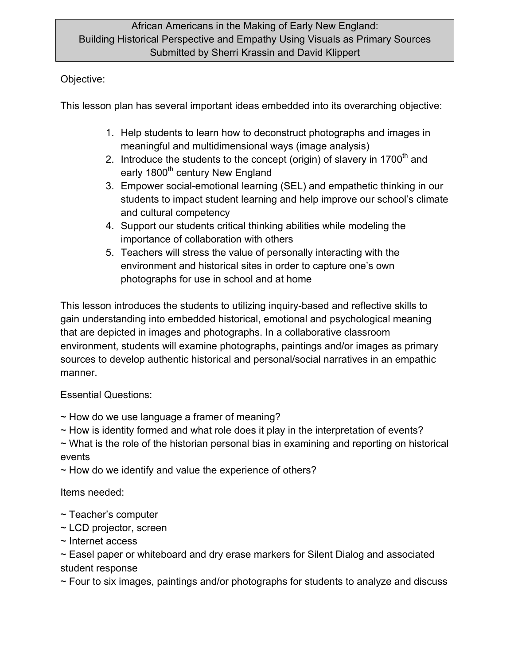# Objective:

This lesson plan has several important ideas embedded into its overarching objective:

- 1. Help students to learn how to deconstruct photographs and images in meaningful and multidimensional ways (image analysis)
- 2. Introduce the students to the concept (origin) of slavery in 1700<sup>th</sup> and early 1800<sup>th</sup> century New England
- 3. Empower social-emotional learning (SEL) and empathetic thinking in our students to impact student learning and help improve our school's climate and cultural competency
- 4. Support our students critical thinking abilities while modeling the importance of collaboration with others
- 5. Teachers will stress the value of personally interacting with the environment and historical sites in order to capture one's own photographs for use in school and at home

This lesson introduces the students to utilizing inquiry-based and reflective skills to gain understanding into embedded historical, emotional and psychological meaning that are depicted in images and photographs. In a collaborative classroom environment, students will examine photographs, paintings and/or images as primary sources to develop authentic historical and personal/social narratives in an empathic manner.

# Essential Questions:

- $\sim$  How do we use language a framer of meaning?
- ~ How is identity formed and what role does it play in the interpretation of events?
- $\sim$  What is the role of the historian personal bias in examining and reporting on historical events
- $\sim$  How do we identify and value the experience of others?

### Items needed:

- ~ Teacher's computer
- ~ LCD projector, screen
- ~ Internet access

 $\sim$  Easel paper or whiteboard and dry erase markers for Silent Dialog and associated student response

~ Four to six images, paintings and/or photographs for students to analyze and discuss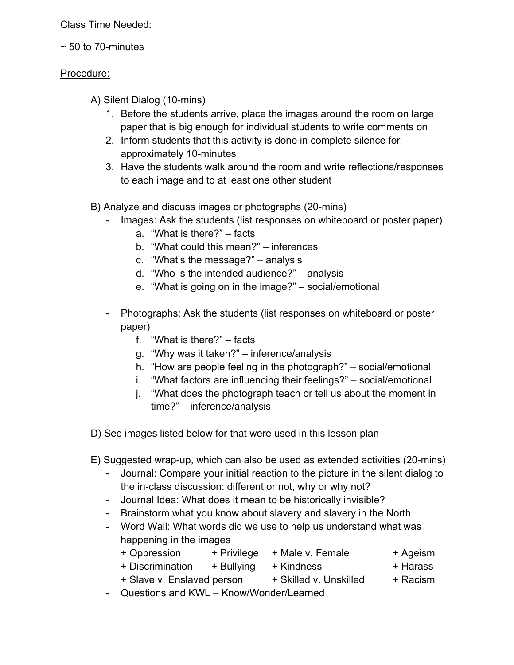#### Class Time Needed:

 $\sim$  50 to 70-minutes

### Procedure:

A) Silent Dialog (10-mins)

- 1. Before the students arrive, place the images around the room on large paper that is big enough for individual students to write comments on
- 2. Inform students that this activity is done in complete silence for approximately 10-minutes
- 3. Have the students walk around the room and write reflections/responses to each image and to at least one other student
- B) Analyze and discuss images or photographs (20-mins)
	- Images: Ask the students (list responses on whiteboard or poster paper)
		- a. "What is there?" facts
		- b. "What could this mean?" inferences
		- c. "What's the message?" analysis
		- d. "Who is the intended audience?" analysis
		- e. "What is going on in the image?" social/emotional
	- Photographs: Ask the students (list responses on whiteboard or poster paper)
		- f. "What is there?" facts
		- g. "Why was it taken?" inference/analysis
		- h. "How are people feeling in the photograph?" social/emotional
		- i. "What factors are influencing their feelings?" social/emotional
		- j. "What does the photograph teach or tell us about the moment in time?" – inference/analysis

D) See images listed below for that were used in this lesson plan

- E) Suggested wrap-up, which can also be used as extended activities (20-mins)
	- Journal: Compare your initial reaction to the picture in the silent dialog to the in-class discussion: different or not, why or why not?
	- Journal Idea: What does it mean to be historically invisible?
	- Brainstorm what you know about slavery and slavery in the North
	- Word Wall: What words did we use to help us understand what was happening in the images
		- + Oppression + Privilege + Male v. Female + Ageism
			-
		- + Discrimination + Bullying + Kindness + Harass
			-
	- Questions and KWL Know/Wonder/Learned
- 
- 
- 
- + Slave v. Enslaved person + Skilled v. Unskilled + Racism
- 
-